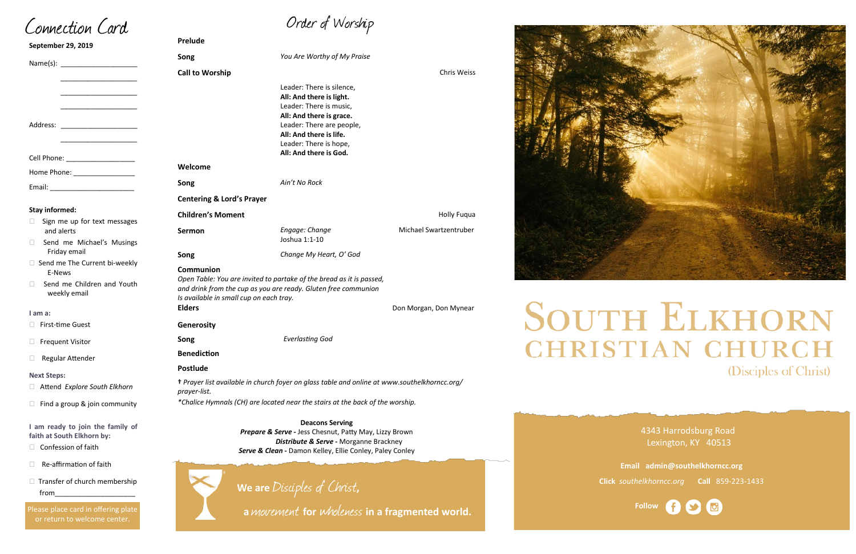# Order of Worship

**Song** *You Are Worthy of My Praise*

**Call to Worship** Chris Weiss **Call to Worship** Chris Weiss **Chris Weiss** 

Leader: There is silence,

|                                                                                                                                                                                                | All: And there is light.<br>Leader: There is music,<br>All: And there is grace.<br>Leader: There are people,<br>All: And there is life.<br>Leader: There is hope,<br>All: And there is God. |                        |  |  |
|------------------------------------------------------------------------------------------------------------------------------------------------------------------------------------------------|---------------------------------------------------------------------------------------------------------------------------------------------------------------------------------------------|------------------------|--|--|
| Welcome                                                                                                                                                                                        |                                                                                                                                                                                             |                        |  |  |
| Song                                                                                                                                                                                           | Ain't No Rock                                                                                                                                                                               |                        |  |  |
| <b>Centering &amp; Lord's Prayer</b>                                                                                                                                                           |                                                                                                                                                                                             |                        |  |  |
| <b>Children's Moment</b>                                                                                                                                                                       |                                                                                                                                                                                             | Holly Fuqua            |  |  |
| Sermon                                                                                                                                                                                         | Engage: Change<br>Joshua 1:1-10                                                                                                                                                             | Michael Swartzentruber |  |  |
| Song                                                                                                                                                                                           | Change My Heart, O' God                                                                                                                                                                     |                        |  |  |
| Communion<br>Open Table: You are invited to partake of the bread as it is passed,<br>and drink from the cup as you are ready. Gluten free communion<br>Is available in small cup on each tray. |                                                                                                                                                                                             |                        |  |  |
| <b>Elders</b>                                                                                                                                                                                  |                                                                                                                                                                                             | Don Morgan, Don Mynear |  |  |
| <b>Generosity</b>                                                                                                                                                                              |                                                                                                                                                                                             |                        |  |  |
| Song                                                                                                                                                                                           | <b>Everlasting God</b>                                                                                                                                                                      |                        |  |  |
| <b>Benediction</b>                                                                                                                                                                             |                                                                                                                                                                                             |                        |  |  |
| <b>Postlude</b>                                                                                                                                                                                |                                                                                                                                                                                             |                        |  |  |
| prayer-list.                                                                                                                                                                                   | + Prayer list available in church foyer on glass table and online at www.southelkhorncc.org/<br>*Chalice Hymnals (CH) are located near the stairs at the back of the worship.               |                        |  |  |
|                                                                                                                                                                                                |                                                                                                                                                                                             |                        |  |  |

- $\square$  Sign me up for text messages and alerts
- Send me Michael's Musings Friday email
- $\Box$  Send me The Current bi-weekly E-News
- □ Send me Children and Youth weekly email

- Attend *Explore South Elkhorn*
- $\Box$  Find a group & join community

- $\Box$  Confession of faith
- $\Box$  Re-affirmation of faith
- $\Box$  Transfer of church membership from\_\_\_\_\_\_\_\_\_\_\_\_\_\_\_\_\_\_\_\_\_

4343 Harrodsburg Road Lexington, KY 40513

Please place card in offering plate or return to welcome center.



**Email admin@southelkhorncc.org Click** *southelkhorncc.org* **Call** 859-223-1433

Connection Card

**September 29, 2019**

| <b>Prelude</b> |  |
|----------------|--|

Name(s): \_\_\_\_\_\_\_\_\_\_\_\_\_\_\_\_\_\_\_\_ \_\_\_\_\_\_\_\_\_\_\_\_\_\_\_\_\_\_\_\_ \_\_\_\_\_\_\_\_\_\_\_\_\_\_\_\_\_\_\_\_ \_\_\_\_\_\_\_\_\_\_\_\_\_\_\_\_\_\_\_\_ Address: \_\_\_\_\_\_\_\_\_\_\_\_\_\_\_\_\_\_\_\_ \_\_\_\_\_\_\_\_\_\_\_\_\_\_\_\_\_\_\_\_ Cell Phone: **Example 20** Home Phone: \_\_\_\_\_\_\_\_\_\_\_\_\_\_\_\_ Email: \_\_\_\_\_\_\_\_\_\_\_\_\_\_\_\_\_\_\_\_\_\_

#### **Stay informed:**

#### **I am a:**

□ First-time Guest

□ Frequent Visitor

□ Regular Attender

#### **Next Steps:**

**I am ready to join the family of faith at South Elkhorn by:**

**Deacons Serving**  *Prepare & Serve -* Jess Chesnut, Patty May, Lizzy Brown *Distribute & Serve -* Morganne Brackney *Serve & Clean -* Damon Kelley, Ellie Conley, Paley Conley



 **<sup>a</sup>**movement **for** wholeness **in a fragmented world.**



# **SOUTH ELKHORN CHRISTIAN CHURCH** (Disciples of Christ)